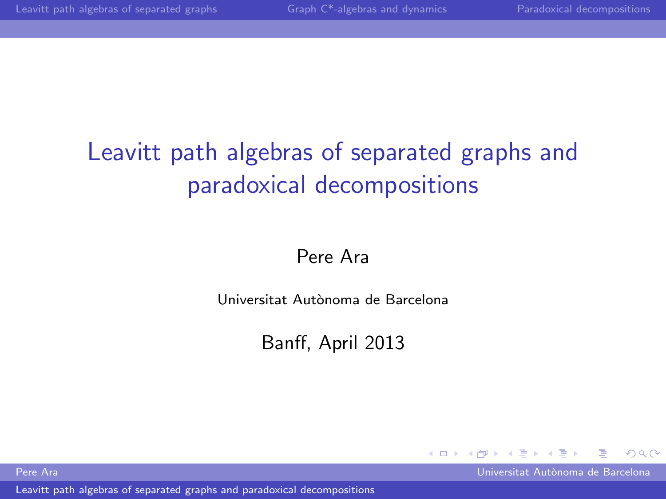# Leavitt path algebras of separated graphs and paradoxical decompositions

# Pere Ara

Universitat Aut`onoma de Barcelona

Banff, April 2013

[Leavitt path algebras of separated graphs and paradoxical decompositions](#page-60-0)

<span id="page-0-0"></span>

Pere Ara Universitat Aut`onoma de Barcelona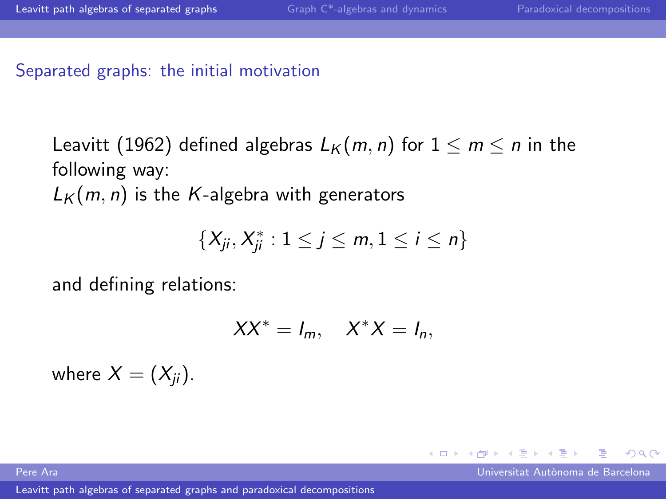Separated graphs: the initial motivation

Leavitt (1962) defined algebras  $L_K(m, n)$  for  $1 \le m \le n$  in the following way:  $L_K(m, n)$  is the K-algebra with generators

$$
\{X_{ji}, X_{ji}^*: 1 \leq j \leq m, 1 \leq i \leq n\}
$$

and defining relations:

$$
XX^* = I_m, \quad X^*X = I_n,
$$

where  $X = (X_{ii})$ .

Pere Ara Universitat Aut`onoma de Barcelona

<span id="page-1-0"></span> $\Omega$ 

 $\leftarrow$   $\Box$   $\rightarrow$   $\rightarrow$   $\leftarrow$   $\Box$   $\rightarrow$   $\rightarrow$   $\rightarrow$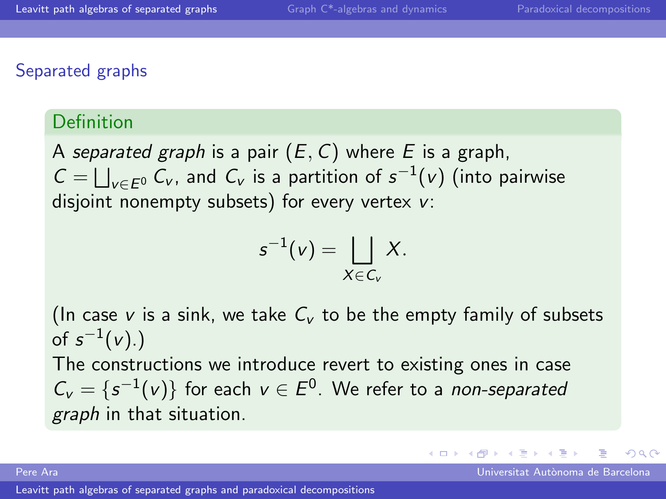## Separated graphs

#### Definition

A separated graph is a pair  $(E, C)$  where E is a graph,  $C = \bigsqcup_{v \in E^0} C_v$ , and  $C_v$  is a partition of  $s^{-1}(v)$  (into pairwise disjoint nonempty subsets) for every vertex v:

$$
s^{-1}(v) = \bigsqcup_{X \in C_v} X.
$$

(In case v is a sink, we take  $C_v$  to be the empty family of subsets of  $\,s^{-1}(\nu). )$ 

The constructions we introduce revert to existing ones in case  $C_v = \{s^{-1}(v)\}\;$  for each  $v \in E^0$ . We refer to a non-separated graph in that situation.

Pere Ara Universitat Aut`onoma de Barcelona

 $\Omega$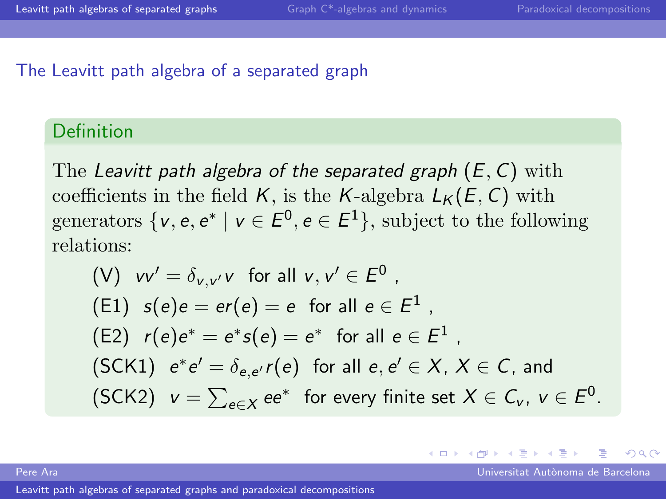#### The Leavitt path algebra of a separated graph

## Definition

The Leavitt path algebra of the separated graph  $(E, C)$  with coefficients in the field K, is the K-algebra  $L_K(E, C)$  with generators  $\{v, e, e^* \mid v \in E^0, e \in E^1\}$ , subject to the following relations:

\n- (V) 
$$
vv' = \delta_{v,v'}v
$$
 for all  $v, v' \in E^0$ ,
\n- (E1)  $s(e)e = er(e) = e$  for all  $e \in E^1$ ,
\n- (E2)  $r(e)e^* = e^*s(e) = e^*$  for all  $e \in E^1$ ,
\n- (SCK1)  $e^*e' = \delta_{e,e'}r(e)$  for all  $e, e' \in X, X \in C$ , and
\n- (SCK2)  $v = \sum_{e \in X} ee^*$  for every finite set  $X \in C_v$ ,  $v \in E^0$ .
\n

4.0.3

Pere Ara Universitat Aut`onoma de Barcelona

 $\Omega$ 

 $\leftarrow \equiv$   $\rightarrow$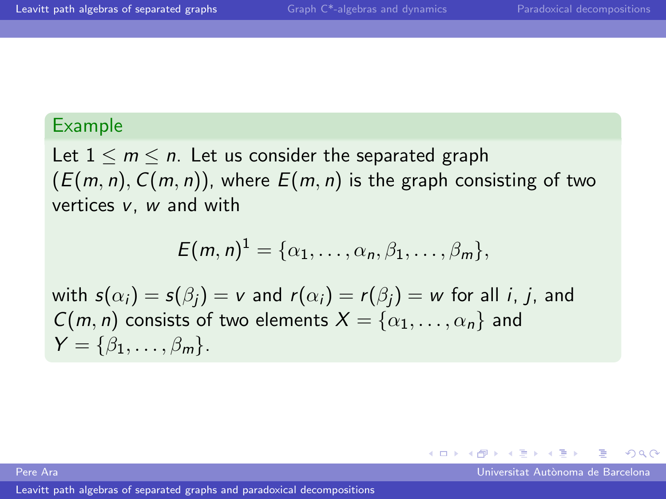## Example

Let  $1 \leq m \leq n$ . Let us consider the separated graph  $(E(m, n), C(m, n))$ , where  $E(m, n)$  is the graph consisting of two vertices v, w and with

$$
E(m,n)^{1} = \{\alpha_1,\ldots,\alpha_n,\beta_1,\ldots,\beta_m\},\,
$$

with  $s(\alpha_i) = s(\beta_i) = v$  and  $r(\alpha_i) = r(\beta_i) = w$  for all *i*, *j*, and  $C(m, n)$  consists of two elements  $X = \{\alpha_1, \dots, \alpha_n\}$  and  $Y = \{\beta_1, \ldots, \beta_m\}.$ 

Pere Ara Universitat Aut`onoma de Barcelona

 $209$ 

 $\leftarrow$   $\Box$   $\rightarrow$   $\rightarrow$   $\leftarrow$   $\Box$   $\rightarrow$   $\rightarrow$   $\rightarrow$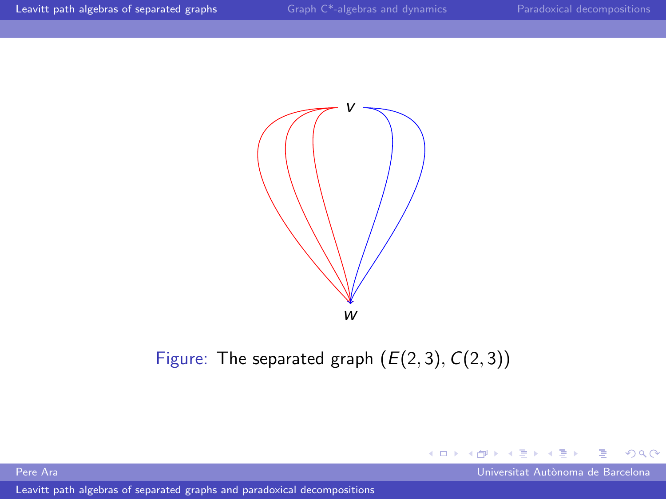

# Figure: The separated graph  $(E(2, 3), C(2, 3))$

[Leavitt path algebras of separated graphs and paradoxical decompositions](#page-0-0)

Pere Ara Universitat Autònoma de Barcelona (California de Barcelona de Barcelona de Barcelona de Barcelona de

<span id="page-5-0"></span> $299$ 

4.000

 $\mathcal{A}$ 同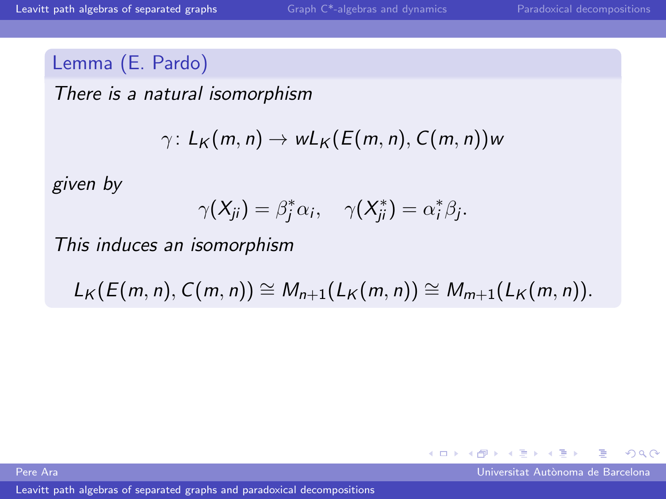# Lemma (E. Pardo)

There is a natural isomorphism

$$
\gamma\colon L_K(m,n)\to wL_K(E(m,n),C(m,n))w
$$

given by

$$
\gamma(X_{ji})=\beta_j^*\alpha_i, \quad \gamma(X_{ji}^*)=\alpha_i^*\beta_j.
$$

This induces an isomorphism

 $L_K(E(m, n), C(m, n)) \cong M_{n+1}(L_K(m, n)) \cong M_{m+1}(L_K(m, n)).$ 

[Leavitt path algebras of separated graphs and paradoxical decompositions](#page-0-0)

Pere Ara Universitat Aut`onoma de Barcelona

<span id="page-6-0"></span> $\Omega$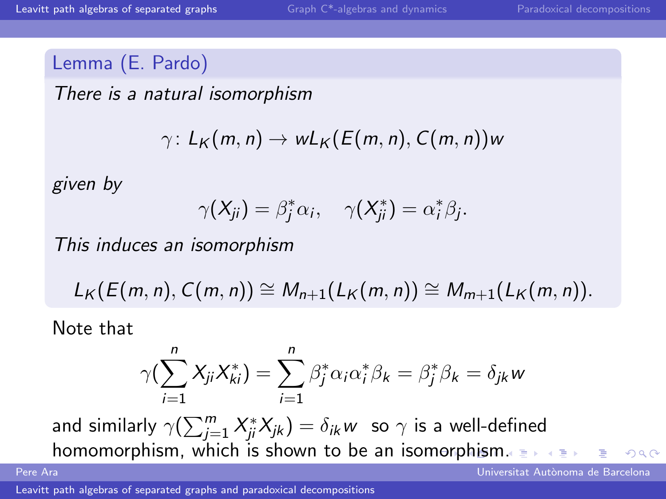## Lemma (E. Pardo)

There is a natural isomorphism

$$
\gamma\colon L_K(m,n)\to wL_K(E(m,n),C(m,n))w
$$

given by

$$
\gamma(X_{ji})=\beta_j^*\alpha_i, \quad \gamma(X_{ji}^*)=\alpha_i^*\beta_j.
$$

This induces an isomorphism

$$
L_K(E(m,n),C(m,n))\cong M_{n+1}(L_K(m,n))\cong M_{m+1}(L_K(m,n)).
$$

Note that

<span id="page-7-0"></span>
$$
\gamma(\sum_{i=1}^n X_{ji} X_{ki}^*) = \sum_{i=1}^n \beta_j^* \alpha_i \alpha_i^* \beta_k = \beta_j^* \beta_k = \delta_{jk} w
$$

and similarly  $\gamma(\sum_{j=1}^m X_{ji}^* X_{jk}) = \delta_{ik} w ~$  so  $\gamma$  is a well-defined ho[m](#page-8-0)omo[rp](#page-8-0)[h](#page-5-0)[i](#page-6-0)[s](#page-7-0)m, which is shown to be an isomorphism[.](#page-0-0)  $QQQ$ 

Pere Ara Universitat Aut`onoma de Barcelona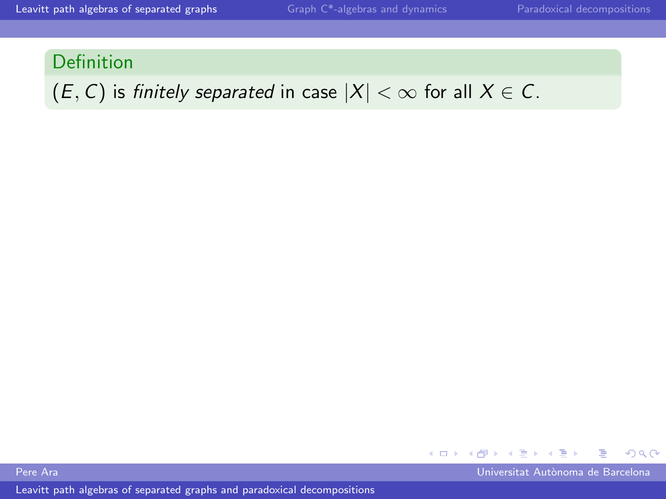# $(E, C)$  is finitely separated in case  $|X| < \infty$  for all  $X \in C$ .

<span id="page-8-0"></span> $\leftarrow$   $\Box$   $\rightarrow$   $\rightarrow$   $\leftarrow$   $\Box$   $\rightarrow$   $\rightarrow$   $\rightarrow$  $\Omega$ 

Pere Ara Universitat Aut`onoma de Barcelona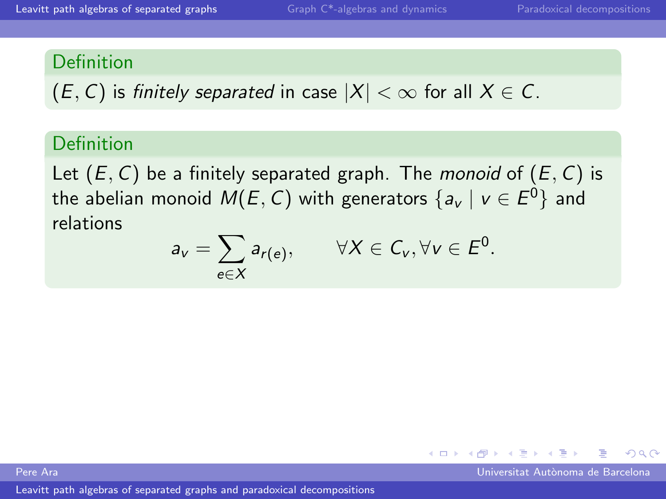$(E, C)$  is finitely separated in case  $|X| < \infty$  for all  $X \in C$ .

# Definition

Let  $(E, C)$  be a finitely separated graph. The *monoid* of  $(E, C)$  is the abelian monoid  $\mathsf{M}(E,C)$  with generators  $\{ \mathsf{a_v} \mid \mathsf{v} \in E^0 \}$  and relations

$$
a_v = \sum_{e \in X} a_{r(e)}, \qquad \forall X \in C_v, \forall v \in E^0.
$$

Pere Ara Universitat Aut`onoma de Barcelona

 $\Omega$ 

 $\leftarrow$   $\equiv$ 

4. 0. 8.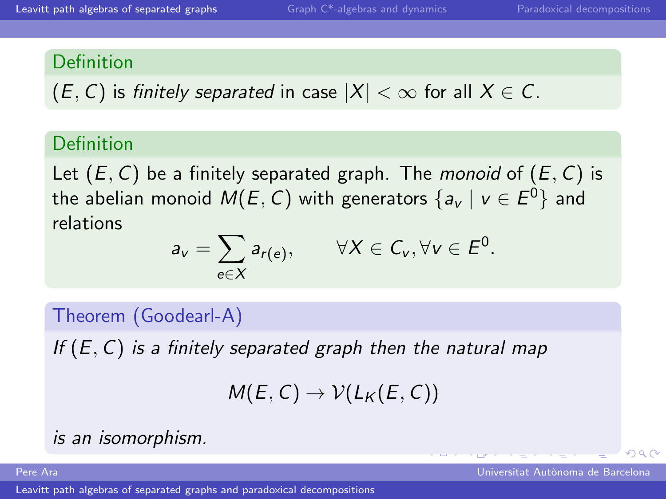$(E, C)$  is finitely separated in case  $|X| < \infty$  for all  $X \in C$ .

# Definition

Let  $(E, C)$  be a finitely separated graph. The *monoid* of  $(E, C)$  is the abelian monoid  $\mathsf{M}(E,C)$  with generators  $\{ \mathsf{a_v} \mid \mathsf{v} \in E^0 \}$  and relations

$$
a_v = \sum_{e \in X} a_{r(e)}, \qquad \forall X \in C_v, \forall v \in E^0.
$$

Theorem (Goodearl-A)

If  $(E, C)$  is a finitely separated graph then the natural map

$$
M(E,C)\to \mathcal{V}(L_K(E,C))
$$

is an isomorphism.

[Leavitt path algebras of separated graphs and paradoxical decompositions](#page-0-0)

Pere Ara Universitat Aut`onoma de Barcelona

 $\Omega$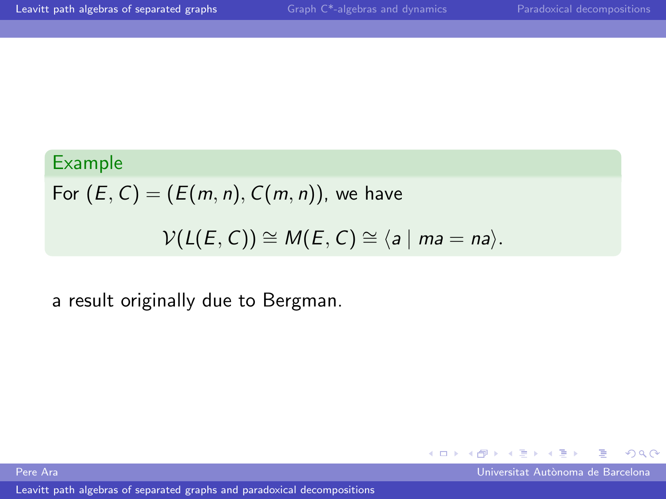$\Omega$ 

 $\leftarrow$   $\Box$   $\rightarrow$   $\rightarrow$   $\leftarrow$   $\Box$   $\rightarrow$   $\rightarrow$   $\rightarrow$ 

# Example

For  $(E, C) = (E(m, n), C(m, n))$ , we have  $V(L(E, C)) \cong M(E, C) \cong \langle a \mid ma = na \rangle$ .

# a result originally due to Bergman.

Pere Ara Universitat Aut`onoma de Barcelona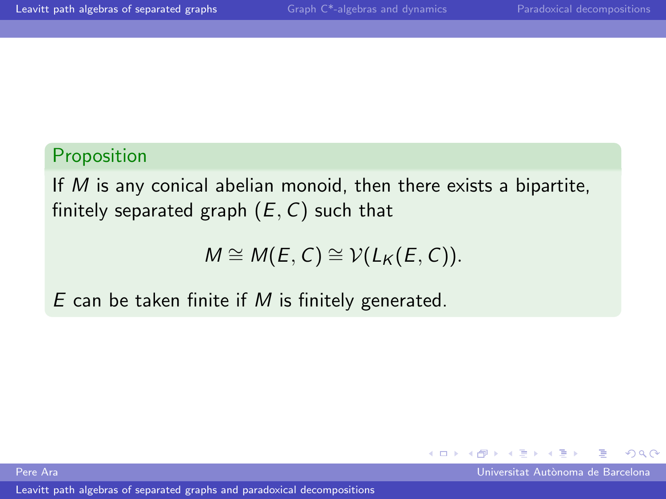# Proposition

If M is any conical abelian monoid, then there exists a bipartite, finitely separated graph  $(E, C)$  such that

$$
M \cong M(E, C) \cong V(L_K(E, C)).
$$

4. 0. 8.

 $\leftarrow$   $\equiv$ 

 $\Omega$ 

 $E$  can be taken finite if  $M$  is finitely generated.

Pere Ara Universitat Aut`onoma de Barcelona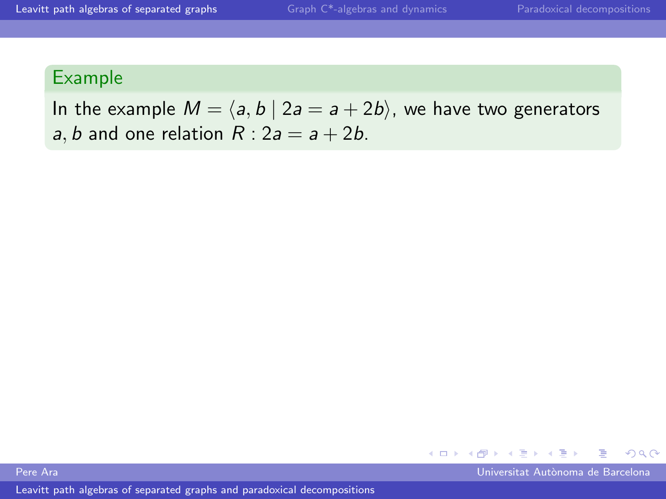# Example

In the example  $M = \langle a, b \mid 2a = a + 2b \rangle$ , we have two generators a, b and one relation  $R: 2a = a + 2b$ .



Pere Ara Universitat Aut`onoma de Barcelona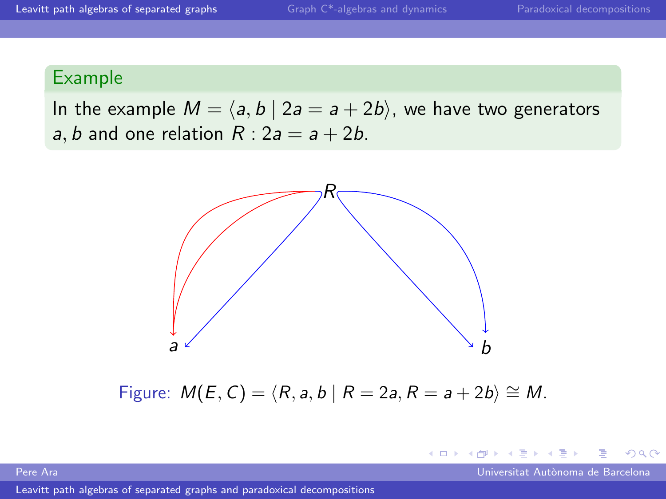# Example

In the example  $M = \langle a, b \mid 2a = a + 2b \rangle$ , we have two generators a, b and one relation  $R: 2a = a + 2b$ .



Figure:  $M(E, C) = \langle R, a, b | R = 2a, R = a + 2b \rangle \cong M$ .

Pere Ara Universitat Aut`onoma de Barcelona

 $\Omega$ 

4. 0. 8.

4 何 ▶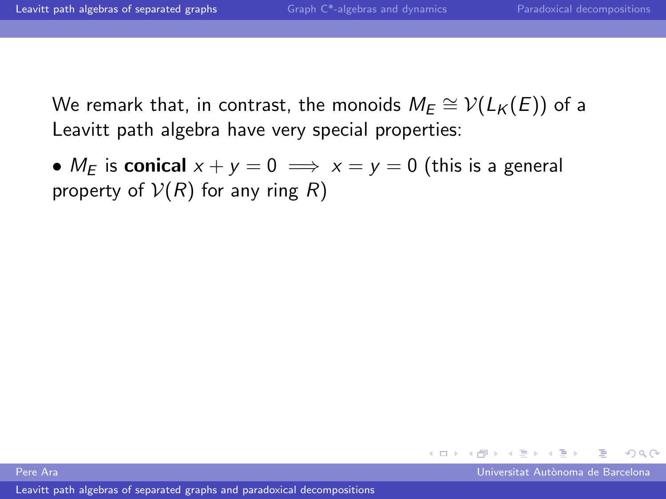We remark that, in contrast, the monoids  $M_E \cong \mathcal{V}(L_\mathcal{K}(E))$  of a Leavitt path algebra have very special properties:

•  $M_F$  is conical  $x + y = 0 \implies x = y = 0$  (this is a general property of  $V(R)$  for any ring R)

Pere Ara Universitat Aut`onoma de Barcelona

 $\Omega$ 

 $\leftarrow$   $\equiv$ 

**←ロ ▶ ← イ 同 →**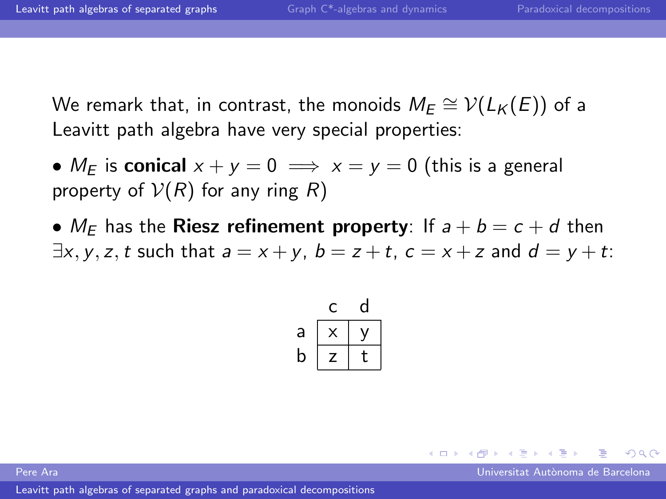We remark that, in contrast, the monoids  $M_E \cong \mathcal{V}(L_\mathcal{K}(E))$  of a Leavitt path algebra have very special properties:

- $M_F$  is conical  $x + y = 0 \implies x = y = 0$  (this is a general property of  $V(R)$  for any ring R)
- $M_F$  has the **Riesz refinement property**: If  $a + b = c + d$  then  $\exists x, y, z, t$  such that  $a = x + y$ ,  $b = z + t$ ,  $c = x + z$  and  $d = y + t$ .

| a |   |   |
|---|---|---|
| b | 7 | € |

Pere Ara Universitat Aut`onoma de Barcelona

 $\Omega$ 

 $\left\{ \begin{array}{ccc} \square & \rightarrow & \left\{ \bigcap \mathbb{P} \right\} & \left\{ \begin{array}{ccc} \square & \rightarrow & \left\{ \end{array} \right\} \end{array} \right. \right\}$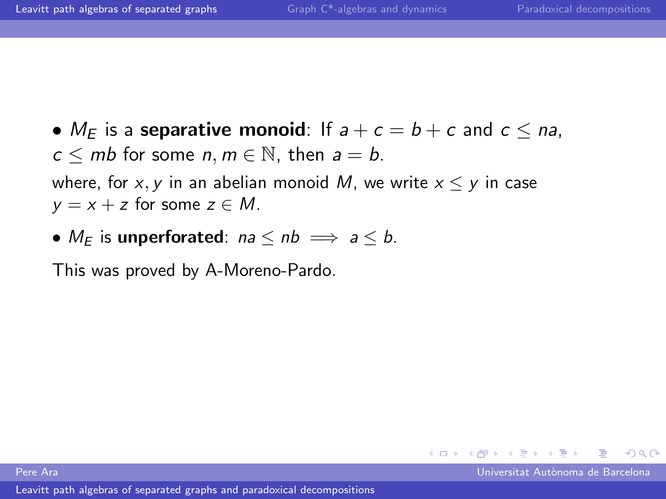•  $M_F$  is a separative monoid: If  $a + c = b + c$  and  $c \le na$ ,  $c \le mb$  for some n,  $m \in \mathbb{N}$ , then  $a = b$ . where, for x, y in an abelian monoid M, we write  $x \leq y$  in case  $y = x + z$  for some  $z \in M$ .

•  $M_F$  is unperforated:  $na \le nb \implies a \le b$ .

This was proved by A-Moreno-Pardo.

Pere Ara Universitat Aut`onoma de Barcelona

 $\Omega$ 

**K ロ ▶ | K 伺 ▶ | K ヨ ▶**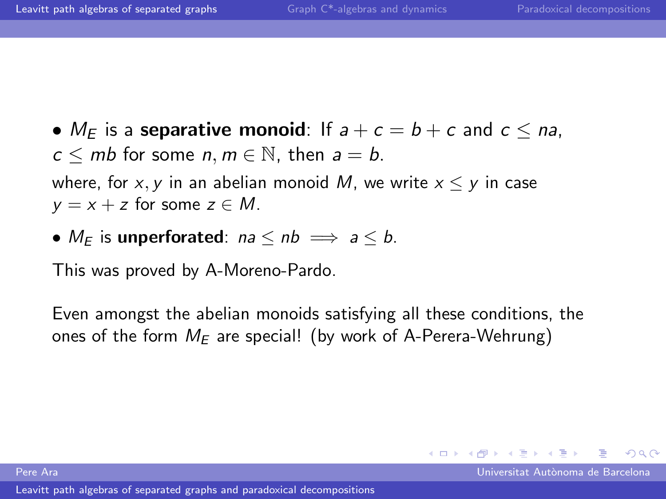•  $M_F$  is a separative monoid: If  $a + c = b + c$  and  $c \le na$ ,  $c \le mb$  for some n,  $m \in \mathbb{N}$ , then  $a = b$ . where, for x, y in an abelian monoid M, we write  $x \leq y$  in case  $y = x + z$  for some  $z \in M$ .

•  $M_F$  is unperforated:  $na \le nb \implies a \le b$ .

This was proved by A-Moreno-Pardo.

Even amongst the abelian monoids satisfying all these conditions, the ones of the form  $M_F$  are special! (by work of A-Perera-Wehrung)

 $\Omega$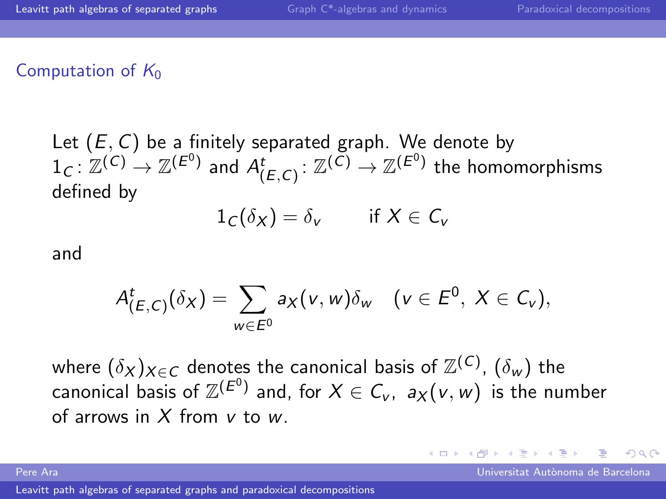#### Computation of  $K_0$

Let  $(E, C)$  be a finitely separated graph. We denote by  $1_C\colon \mathbb Z^{(C)}\to \mathbb Z^{(E^0)}$  and  $A^t_{(E,C)}\colon \mathbb Z^{(C)}\to \mathbb Z^{(E^0)}$  the homomorphisms defined by

$$
1_C(\delta_X) = \delta_v \quad \text{if } X \in C_v
$$

and

$$
A^t_{(E,C)}(\delta_X)=\sum_{w\in E^0}a_X(v,w)\delta_w\quad(v\in E^0,\ X\in C_v),
$$

where  $(\delta_X)_{X \in \mathcal{C}}$  denotes the canonical basis of  $\mathbb{Z}^{(\mathcal{C})}$ ,  $(\delta_w)$  the canonical basis of  $\mathbb{Z}^{(\mathcal{E}^0)}$  and, for  $X\in \mathcal{C}_{\nu}$ ,  $\mathsf{a}_X(\nu,w)$  is the number of arrows in  $X$  from  $V$  to  $W$ .

Pere Ara Universitat Aut`onoma de Barcelona

 $\Omega$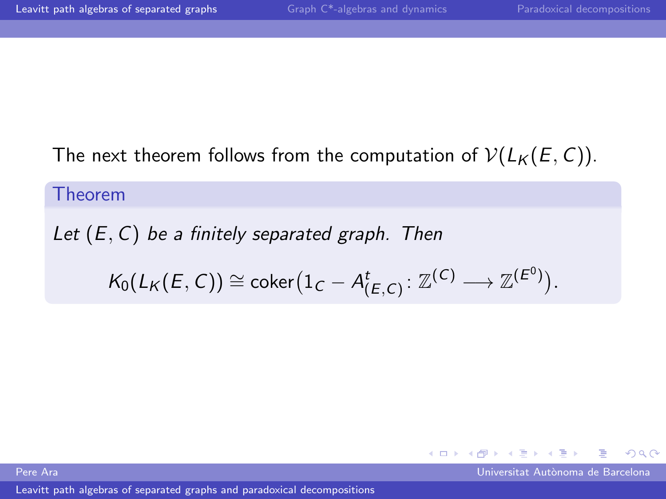# The next theorem follows from the computation of  $V(L_K(E, C))$ .

Theorem

Let  $(E, C)$  be a finitely separated graph. Then  $\mathcal{K}_0(L_\mathcal{K}(E,C))\cong \mathsf{coker}\big(1_C-A^t_{(E,C)}\colon \mathbb{Z}^{(C)}\longrightarrow \mathbb{Z}^{(E^0)}\big).$ 

Pere Ara Universitat Aut`onoma de Barcelona

 $\Omega$ 

 $\left\{ \begin{array}{ccc} 1 & 0 & 0 \\ 0 & 1 & 0 \end{array} \right.$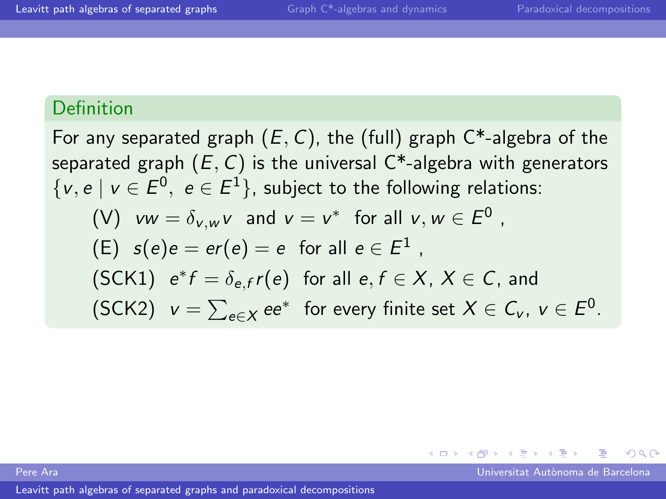For any separated graph  $(E, C)$ , the (full) graph  $C^*$ -algebra of the separated graph  $(E, C)$  is the universal  $C^*$ -algebra with generators  $\{v, e \mid v \in E^0, e \in E^1\}$ , subject to the following relations:  $(V)$   $vw = \delta_{v,w}v$  and  $v = v^*$  for all  $v, w \in E^0$ ,  $\mathsf{E}(\mathsf{E}) \;\; \mathsf{s}(e)e = e r(e) = e \;\; \text{for all} \;\, e \in E^1 \;,$ (SCK1)  $e^* f = \delta_{e,f} r(e)$  for all  $e, f \in X$ ,  $X \in C$ , and (SCK2)  $v = \sum_{e \in X} ee^*$  for every finite set  $X \in C_v$ ,  $v \in E^0$ .

Pere Ara Universitat Aut`onoma de Barcelona

 $\Omega$ 

メロメ メ母メ メミメ メミメ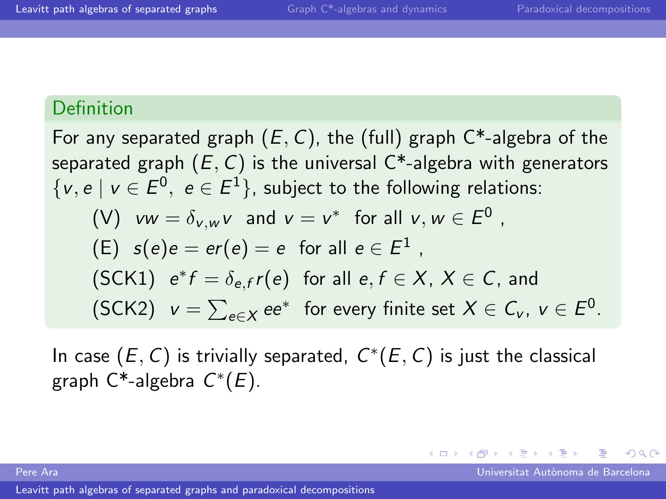For any separated graph  $(E, C)$ , the (full) graph  $C^*$ -algebra of the separated graph  $(E, C)$  is the universal  $C^*$ -algebra with generators  $\{v, e \mid v \in E^0, e \in E^1\}$ , subject to the following relations:  $(V)$   $vw = \delta_{v,w}v$  and  $v = v^*$  for all  $v, w \in E^0$ ,  $\mathsf{E}(\mathsf{E}) \;\; \mathsf{s}(e)e = e r(e) = e \;\; \text{for all} \;\, e \in E^1 \;,$ (SCK1)  $e^* f = \delta_{e,f} r(e)$  for all  $e, f \in X$ ,  $X \in C$ , and (SCK2)  $v = \sum_{e \in X} ee^*$  for every finite set  $X \in C_v$ ,  $v \in E^0$ .

In case  $(E, C)$  is trivially separated,  $C^*(E, C)$  is just the classical graph  $C^*$ -algebra  $C^*(E)$ .

Pere Ara Universitat Aut`onoma de Barcelona

<span id="page-22-0"></span> $\Omega$ 

 $\left\{ \begin{array}{ccc} 1 & 0 & 0 \\ 0 & 1 & 0 \end{array} \right.$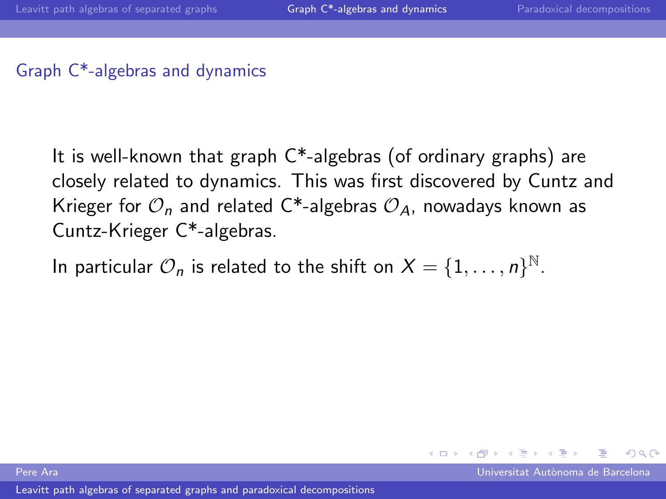## Graph C\*-algebras and dynamics

It is well-known that graph C\*-algebras (of ordinary graphs) are closely related to dynamics. This was first discovered by Cuntz and Krieger for  $\mathcal{O}_n$  and related C<sup>\*</sup>-algebras  $\mathcal{O}_4$ , nowadays known as Cuntz-Krieger C\*-algebras.

In particular  $\mathcal{O}_n$  is related to the shift on  $X = \{1, \ldots, n\}^{\mathbb{N}}$ .

Pere Ara Universitat Aut`onoma de Barcelona

<span id="page-23-0"></span> $\Omega$ 

**←ロ ▶ ← イ 同 →**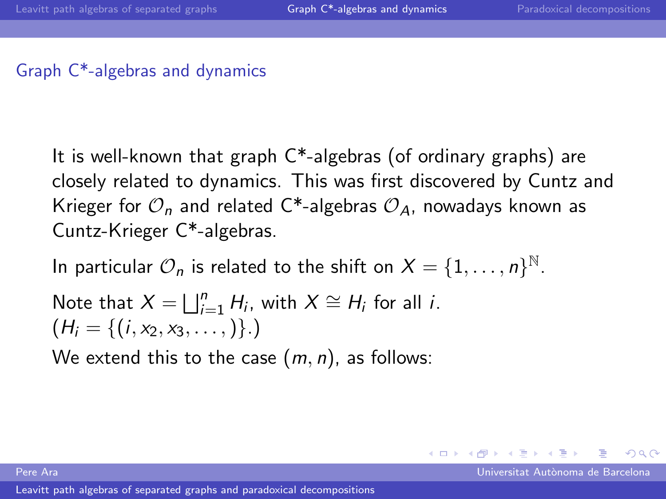## Graph C\*-algebras and dynamics

It is well-known that graph C\*-algebras (of ordinary graphs) are closely related to dynamics. This was first discovered by Cuntz and Krieger for  $\mathcal{O}_n$  and related C<sup>\*</sup>-algebras  $\mathcal{O}_4$ , nowadays known as Cuntz-Krieger C\*-algebras.

In particular  $\mathcal{O}_n$  is related to the shift on  $X = \{1, \ldots, n\}^{\mathbb{N}}$ .

Note that 
$$
X = \bigsqcup_{i=1}^{n} H_i
$$
, with  $X \cong H_i$  for all *i*.  
\n $(H_i = \{(i, x_2, x_3, \dots)\})$ .

We extend this to the case  $(m, n)$ , as follows:

 $\Omega$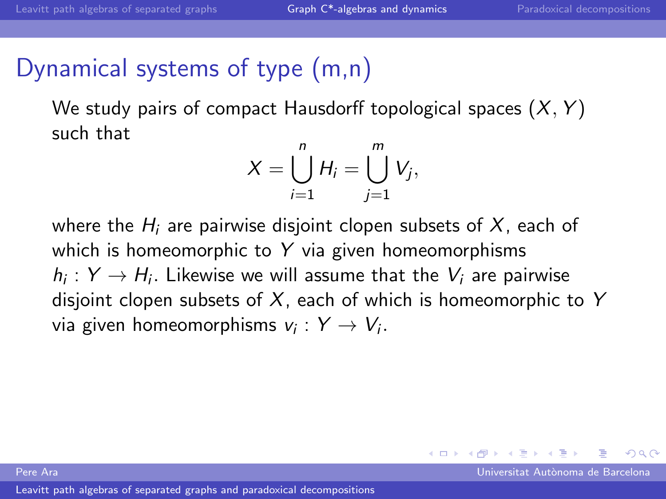$\Omega$ 

# Dynamical systems of type (m,n)

We study pairs of compact Hausdorff topological spaces  $(X, Y)$ such that

$$
X=\bigcup_{i=1}^n H_i=\bigcup_{j=1}^m V_j,
$$

where the  $H_i$  are pairwise disjoint clopen subsets of X, each of which is homeomorphic to  $Y$  via given homeomorphisms  $h_i: Y \to H_i$ . Likewise we will assume that the  $V_i$  are pairwise disjoint clopen subsets of  $X$ , each of which is homeomorphic to Y via given homeomorphisms  $v_i:Y\to V_i.$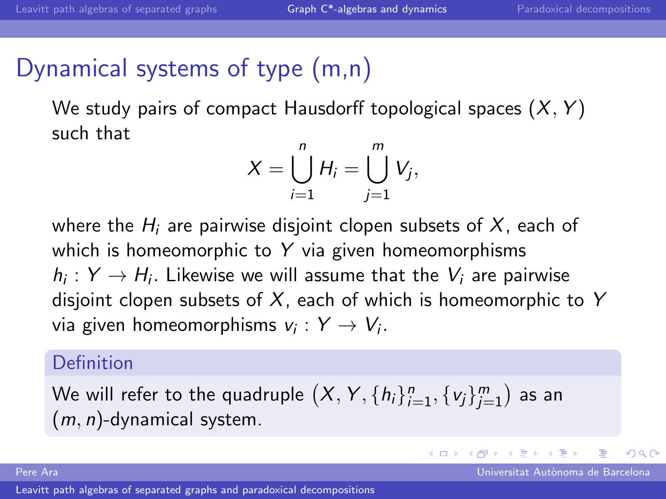# Dynamical systems of type (m,n)

We study pairs of compact Hausdorff topological spaces  $(X, Y)$ such that

$$
X=\bigcup_{i=1}^n H_i=\bigcup_{j=1}^m V_j,
$$

where the  $H_i$  are pairwise disjoint clopen subsets of X, each of which is homeomorphic to  $Y$  via given homeomorphisms  $h_i: Y \to H_i$ . Likewise we will assume that the  $V_i$  are pairwise disjoint clopen subsets of  $X$ , each of which is homeomorphic to Y via given homeomorphisms  $v_i:Y\to V_i.$ 

# Definition

We will refer to the quadruple  $\left(X,Y,\{h_i\}_{i=1}^n,\{ \mathsf{v}_j\}_{j=1}^m\right)$  as an  $(m, n)$ -dynamical system.

[Leavitt path algebras of separated graphs and paradoxical decompositions](#page-0-0)

Pere Ara Universitat Aut`onoma de Barcelona

 $\Omega$ 

メロト メ何ト メミトメ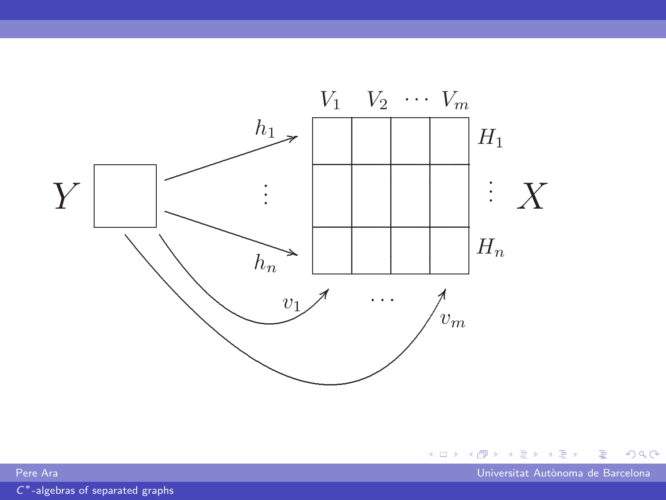



Universitat Autònoma de Barcelona

Pere Ara

 $C^*$ -algebras of separated graphs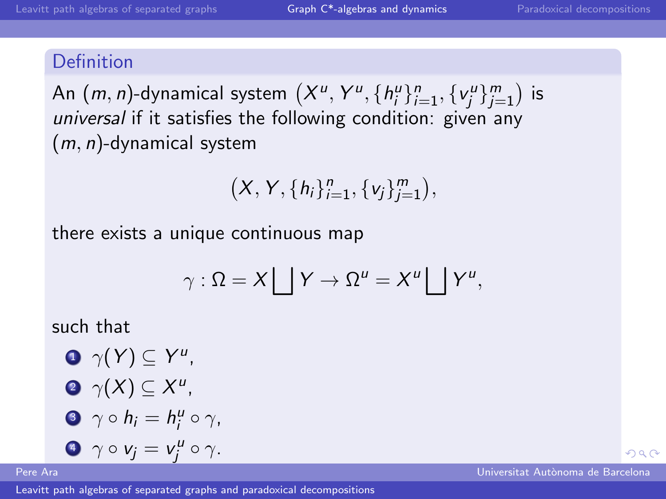An  $(m, n)$ -dynamical system  $(X^u, Y^u, \{h^u_i\}_{i=1}^n, \{v^u_j\}_{j=1}^m)$  is universal if it satisfies the following condition: given any  $(m, n)$ -dynamical system

$$
\big(X, Y, \{h_i\}_{i=1}^n, \{v_j\}_{j=1}^m\big),
$$

there exists a unique continuous map

$$
\gamma : \Omega = X \bigsqcup Y \to \Omega^u = X^u \bigsqcup Y^u,
$$

such that

 $\mathbf{D} \gamma(Y) \subseteq Y^u$ ,  $\gamma(X) \subseteq X^u$ , 3  $\gamma \circ h_i = h_i^u \circ \gamma$ , 4  $\gamma \circ v_j = v_j^u \circ \gamma$ .

[Leavitt path algebras of separated graphs and paradoxical decompositions](#page-0-0)

 $\Omega$ 

Pere Ara Universitat Aut`onoma de Barcelona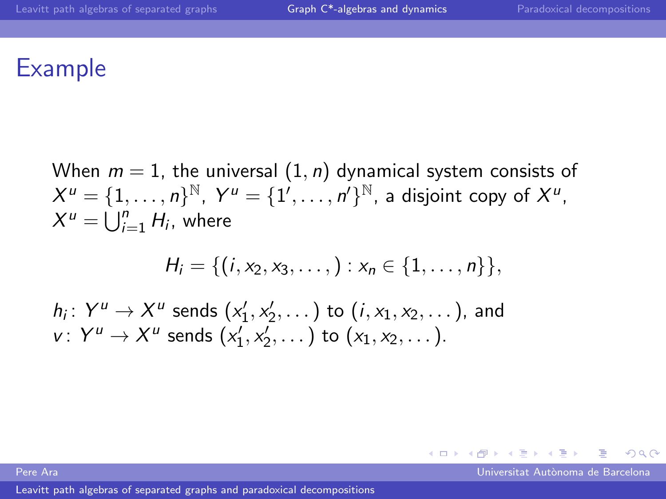# Example

When  $m = 1$ , the universal  $(1, n)$  dynamical system consists of  $X^u = \{1,\ldots,n\}^{\mathbb{N}},~Y^u = \{1',\ldots,n'\}^{\mathbb{N}},$  a disjoint copy of  $X^u,$  $X^u = \bigcup_{i=1}^n H_i$ , where

$$
H_i = \{(i, x_2, x_3, \ldots, ) : x_n \in \{1, \ldots, n\}\},\
$$

 $h_i\colon Y^u\to X^u$  sends  $(x'_1,x'_2,\dots)$  to  $(i,x_1,x_2,\dots)$ , and  $v: Y^u \to X^u$  sends  $(x'_1, x'_2, \dots)$  to  $(x_1, x_2, \dots)$ .

Pere Ara Universitat Aut`onoma de Barcelona

<span id="page-29-0"></span> $\Omega$ 

一本 語 下

 $\leftarrow$   $\Box$   $\rightarrow$   $\rightarrow$   $\Box$   $\rightarrow$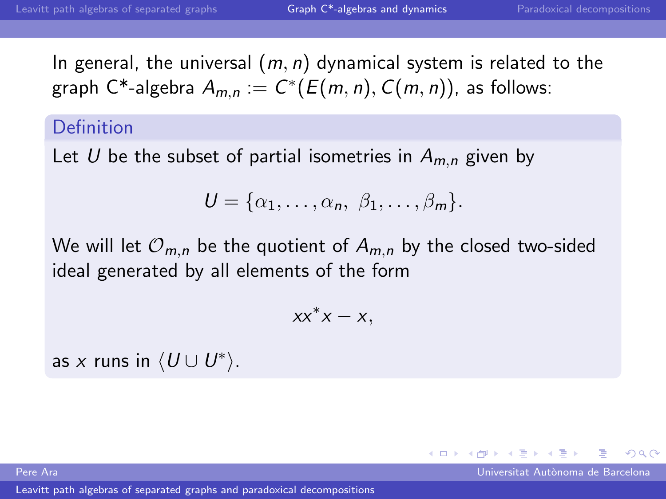In general, the universal  $(m, n)$  dynamical system is related to the graph  $\mathsf{C}^\ast$ -algebra  $A_{m,n} := C^\ast(E(m,n), C(m,n))$ , as follows:

## Definition

Let U be the subset of partial isometries in  $A_{m,n}$  given by

$$
U = \{\alpha_1, \ldots, \alpha_n, \beta_1, \ldots, \beta_m\}.
$$

We will let  $\mathcal{O}_{m,n}$  be the quotient of  $A_{m,n}$  by the closed two-sided ideal generated by all elements of the form

$$
xx^*x-x,
$$

as x runs in  $\langle U \cup U^* \rangle$ .

Pere Ara Universitat Aut`onoma de Barcelona

<span id="page-30-0"></span> $209$ 

 $\leftarrow$   $\Box$   $\rightarrow$   $\rightarrow$   $\leftarrow$   $\Box$   $\rightarrow$   $\rightarrow$   $\rightarrow$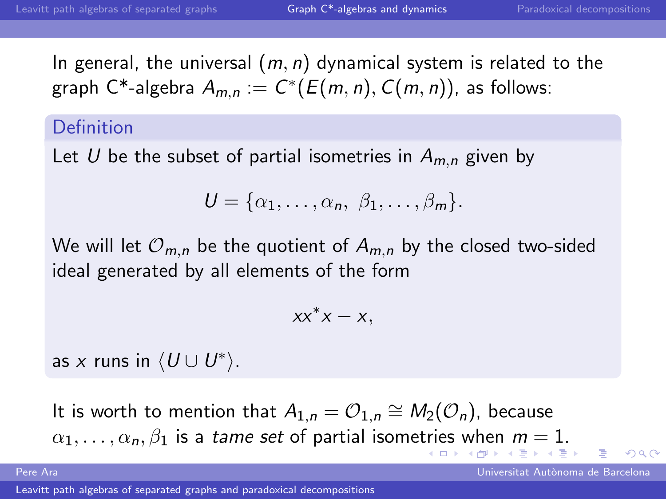In general, the universal  $(m, n)$  dynamical system is related to the graph  $\mathsf{C}^\ast$ -algebra  $A_{m,n} := C^\ast(E(m,n), C(m,n))$ , as follows:

#### Definition

Let U be the subset of partial isometries in  $A_{m,n}$  given by

$$
U = \{\alpha_1, \ldots, \alpha_n, \beta_1, \ldots, \beta_m\}.
$$

We will let  $\mathcal{O}_{m,n}$  be the quotient of  $A_{m,n}$  by the closed two-sided ideal generated by all elements of the form

$$
xx^*x-x,
$$

as x runs in  $\langle U \cup U^* \rangle$ .

It is worth to mention that  $A_{1,n} = \mathcal{O}_{1,n} \cong M_2(\mathcal{O}_n)$ , because  $\alpha_1, \ldots, \alpha_n, \beta_1$  $\alpha_1, \ldots, \alpha_n, \beta_1$  $\alpha_1, \ldots, \alpha_n, \beta_1$  $\alpha_1, \ldots, \alpha_n, \beta_1$  $\alpha_1, \ldots, \alpha_n, \beta_1$  $\alpha_1, \ldots, \alpha_n, \beta_1$  $\alpha_1, \ldots, \alpha_n, \beta_1$  is a tame set of partial isome[trie](#page-30-0)s [w](#page-29-0)he[n](#page-32-0)  $m = 1$  $m = 1$  $m = 1$  $m = 1$ [.](#page-39-0)

Pere Ara Universitat Aut`onoma de Barcelona

<span id="page-31-0"></span> $\Omega$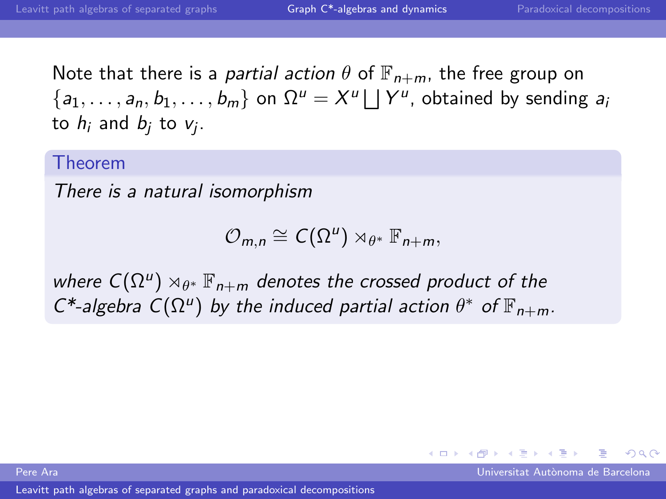<span id="page-32-0"></span> $\Omega$ 

 $\leftarrow$   $\Box$   $\rightarrow$   $\rightarrow$   $\leftarrow$   $\Box$   $\rightarrow$   $\rightarrow$   $\rightarrow$ 

Note that there is a *partial action*  $\theta$  of  $\mathbb{F}_{n+m}$ , the free group on  $\{a_1, \ldots, a_n, b_1, \ldots, b_m\}$  on  $\Omega^u = X^u \bigsqcup Y^u$ , obtained by sending  $a_i$ to  $h_i$  and  $b_j$  to  $v_j$ .

#### Theorem

There is a natural isomorphism

 $\mathcal{O}_{m,n} \cong \mathcal{C}(\Omega^u) \rtimes_{\theta^*} \mathbb{F}_{n+m},$ 

where  $C(\Omega^u)\rtimes_{\theta^*}\mathbb{F}_{n+m}$  denotes the crossed product of the  $C^*$ -algebra  $C(\Omega^u)$  by the induced partial action  $\theta^*$  of  $\mathbb{F}_{n+m}$ .

Pere Ara Universitat Aut`onoma de Barcelona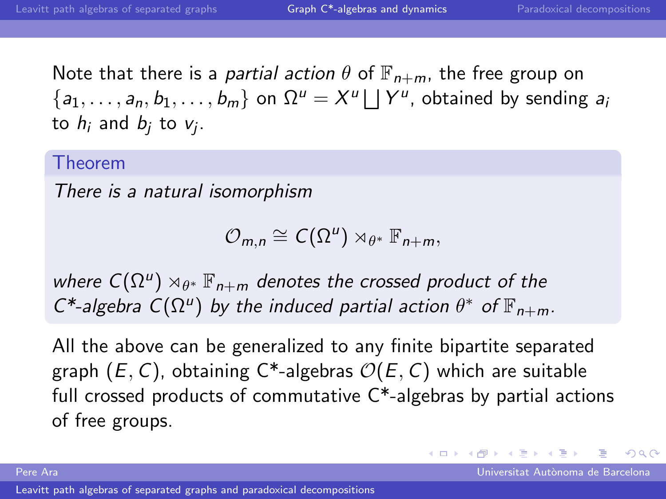Note that there is a *partial action*  $\theta$  of  $\mathbb{F}_{n+m}$ , the free group on  $\{a_1, \ldots, a_n, b_1, \ldots, b_m\}$  on  $\Omega^u = X^u \bigsqcup Y^u$ , obtained by sending  $a_i$ to  $h_i$  and  $b_j$  to  $v_j$ .

#### Theorem

There is a natural isomorphism

 $\mathcal{O}_{m,n} \cong \mathcal{C}(\Omega^u) \rtimes_{\theta^*} \mathbb{F}_{n+m},$ 

where  $C(\Omega^u)\rtimes_{\theta^*}\mathbb{F}_{n+m}$  denotes the crossed product of the  $C^*$ -algebra  $C(\Omega^u)$  by the induced partial action  $\theta^*$  of  $\mathbb{F}_{n+m}$ .

All the above can be generalized to any finite bipartite separated graph  $(E, C)$ , obtaining C<sup>\*</sup>-algebras  $\mathcal{O}(E, C)$  which are suitable full crossed products of commutative C\*-algebras by partial actions of free groups.

Pere Ara Universitat Aut`onoma de Barcelona

 $\Omega$ 

 $\left\{ \begin{array}{ccc} 1 & 0 & 0 \\ 0 & 1 & 0 \end{array} \right.$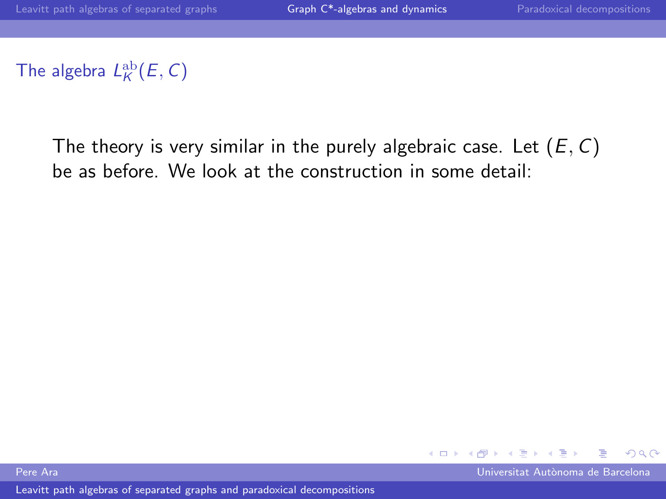# The algebra  $L_K^{\text{ab}}(E, C)$

The theory is very similar in the purely algebraic case. Let  $(E, C)$ be as before. We look at the construction in some detail:



Pere Ara Universitat Aut`onoma de Barcelona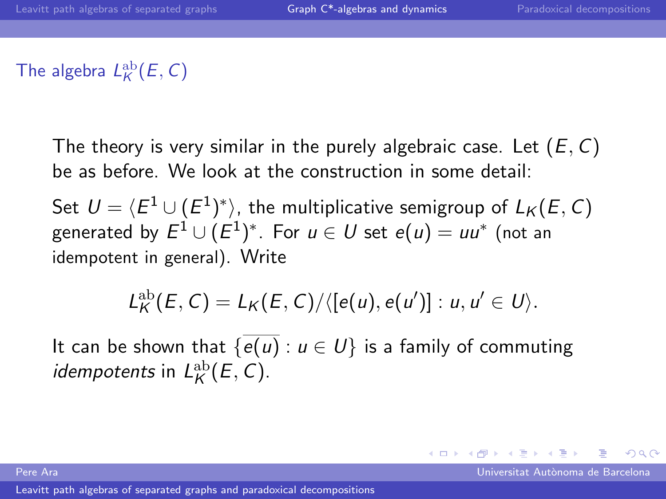# The algebra  $L_K^{\text{ab}}(E, C)$

The theory is very similar in the purely algebraic case. Let  $(E, C)$ be as before. We look at the construction in some detail:

Set  $\mathcal{U} = \langle E^1 \cup (E^1)^* \rangle$ , the multiplicative semigroup of  $L_\mathcal{K} (E,C)$ generated by  $E^1\cup (E^1)^*$ . For  $u\in U$  set  $e(u)=uu^*$  (not an idempotent in general). Write

$$
L_K^{\text{ab}}(E,C)=L_K(E,C)/\langle[e(u),e(u')]:u,u'\in U\rangle.
$$

It can be shown that  $\{e(u): u \in U\}$  is a family of commuting *idempotents* in  $L_K^{\text{ab}}(E, C)$ .

Pere Ara Universitat Aut`onoma de Barcelona

 $209$ 

メロト メ何ト メミトメ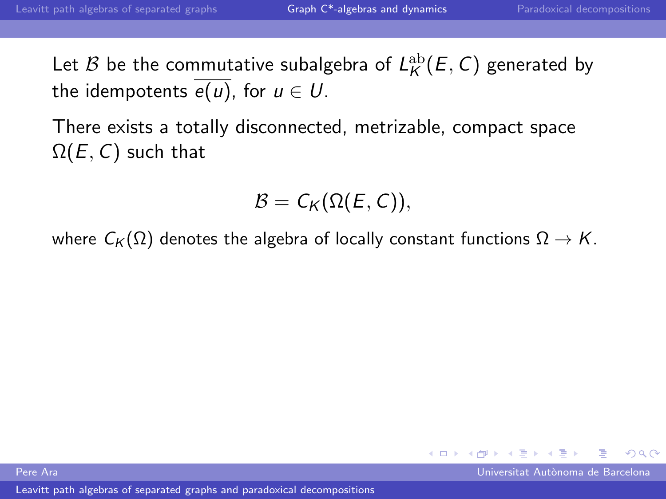Let  $\mathcal B$  be the commutative subalgebra of  $L^\mathrm{ab}_\mathcal{K}(E,C)$  generated by the idempotents  $\overline{e(u)}$ , for  $u \in U$ .

There exists a totally disconnected, metrizable, compact space  $\Omega(E, C)$  such that

$$
\mathcal{B}=C_K(\Omega(E,C)),
$$

where  $C_K(\Omega)$  denotes the algebra of locally constant functions  $\Omega \to K$ .



Pere Ara Universitat Aut`onoma de Barcelona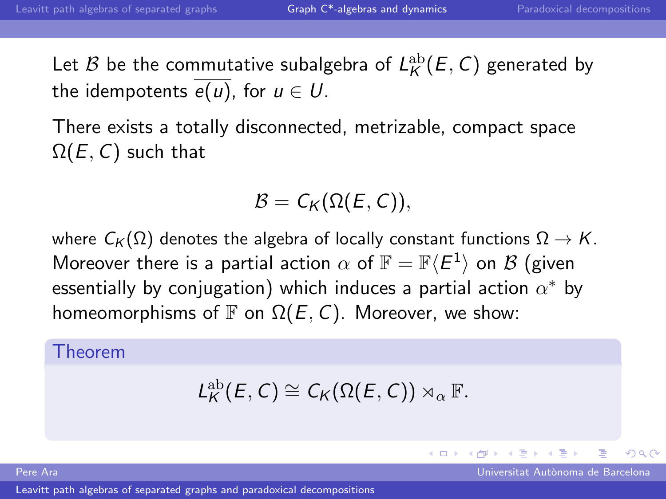Let  $\mathcal B$  be the commutative subalgebra of  $L^\mathrm{ab}_\mathcal{K}(E,C)$  generated by the idempotents  $\overline{e(u)}$ , for  $u \in U$ .

There exists a totally disconnected, metrizable, compact space  $\Omega(E, C)$  such that

$$
\mathcal{B}=C_K(\Omega(E,C)),
$$

where  $C_K(\Omega)$  denotes the algebra of locally constant functions  $\Omega \to K$ . Moreover there is a partial action  $\alpha$  of  $\mathbb{F} = \mathbb{F} \langle E^1 \rangle$  on  $\mathcal B$  (given essentially by conjugation) which induces a partial action  $\alpha^*$  by homeomorphisms of  $\mathbb F$  on  $\Omega(E, C)$ . Moreover, we show:

#### Theorem

$$
L_{K}^{\text{ab}}(E,C)\cong C_{K}(\Omega(E,C))\rtimes_{\alpha}\mathbb{F}.
$$

Pere Ara Universitat Aut`onoma de Barcelona

 $\Omega$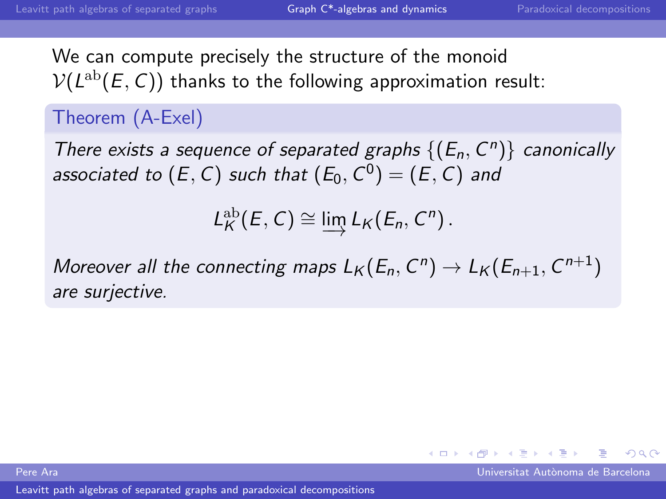We can compute precisely the structure of the monoid  $\mathcal{V}(L^{\text{ab}}(E,\mathcal{C}))$  thanks to the following approximation result:

# Theorem (A-Exel)

There exists a sequence of separated graphs  $\{(E_n, C^n)\}$  canonically associated to  $(E,\,\mathsf{C})$  such that  $(E_0,\,\mathsf{C}^0)=(E,\,\mathsf{C})$  and

$$
L_K^{\text{ab}}(E,C)\cong \varinjlim L_K(E_n,C^n).
$$

Moreover all the connecting maps  $L_K(E_n, C^n) \to L_K(E_{n+1}, C^{n+1})$ are surjective.

Pere Ara Universitat Aut`onoma de Barcelona

 $\Omega$ 

**K ロ ▶ K 何 ▶ K 手**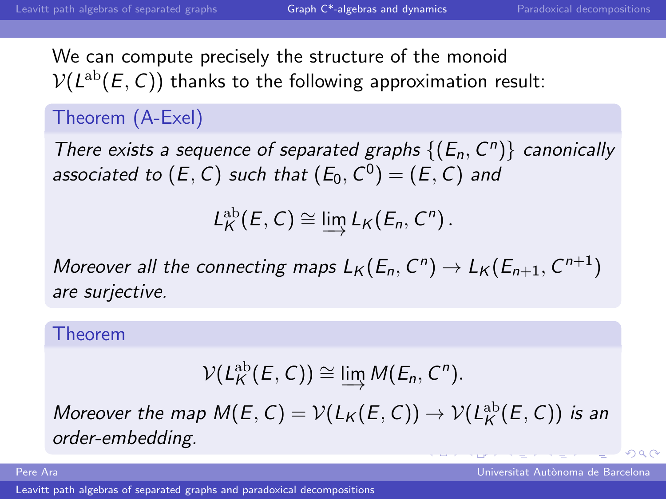We can compute precisely the structure of the monoid  $\mathcal{V}(L^{\text{ab}}(E,\mathcal{C}))$  thanks to the following approximation result:

# Theorem (A-Exel)

There exists a sequence of separated graphs  $\{(E_n, C^n)\}$  canonically associated to  $(E,\,\mathsf{C})$  such that  $(E_0,\,\mathsf{C}^0)=(E,\,\mathsf{C})$  and

$$
L_K^{\text{ab}}(E,C)\cong \varinjlim L_K(E_n,C^n).
$$

Moreover all the connecting maps  $L_K(E_n, C^n) \to L_K(E_{n+1}, C^{n+1})$ are surjective.

#### Theorem

$$
\mathcal{V}(L_K^{\text{ab}}(E,C)) \cong \varinjlim \mathcal{M}(E_n,C^n).
$$

Moreover the map  $M(E, C) = \mathcal{V}(L_K(E, C)) \rightarrow \mathcal{V}(L_K^{\text{ab}}(E, C))$  is an order-embedding.

Pere Ara Universitat Aut`onoma de Barcelona

<span id="page-39-0"></span> $\Omega$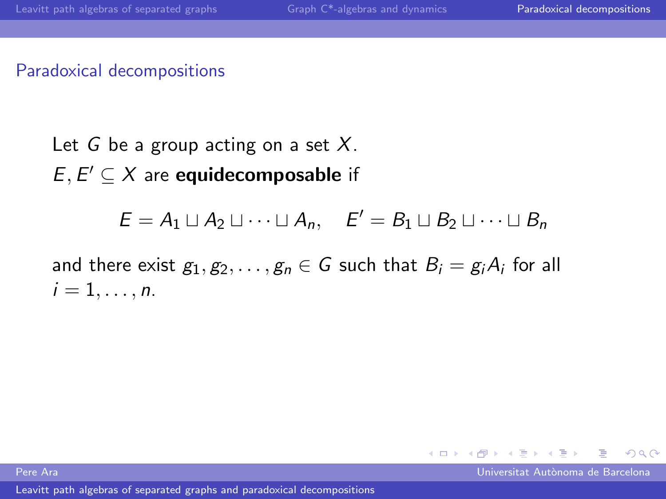#### Paradoxical decompositions

Let G be a group acting on a set  $X$ .  $E, E' \subseteq X$  are equidecomposable if

$$
E = A_1 \sqcup A_2 \sqcup \cdots \sqcup A_n, \quad E' = B_1 \sqcup B_2 \sqcup \cdots \sqcup B_n
$$

and there exist  $g_1, g_2, \ldots, g_n \in G$  such that  $B_i = g_i A_i$  for all  $i=1,\ldots,n$ .

Pere Ara Universitat Aut`onoma de Barcelona

<span id="page-40-0"></span> $\Omega$ 

 $4$  ロ }  $4$   $\overline{m}$  }  $4$   $\overline{m}$  }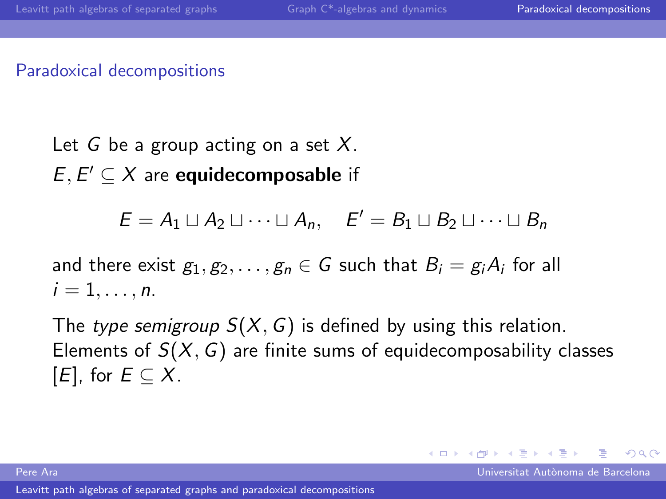#### Paradoxical decompositions

Let G be a group acting on a set  $X$ .  $E, E' \subseteq X$  are equidecomposable if

$$
E = A_1 \sqcup A_2 \sqcup \cdots \sqcup A_n, \quad E' = B_1 \sqcup B_2 \sqcup \cdots \sqcup B_n
$$

and there exist  $g_1, g_2, \ldots, g_n \in G$  such that  $B_i = g_i A_i$  for all  $i=1,\ldots,n$ .

The type semigroup  $S(X, G)$  is defined by using this relation. Elements of  $S(X, G)$  are finite sums of equidecomposability classes  $[E]$ , for  $E \subseteq X$ .

Pere Ara Universitat Aut`onoma de Barcelona

 $\Omega$ 

メロト メ何ト メミトメ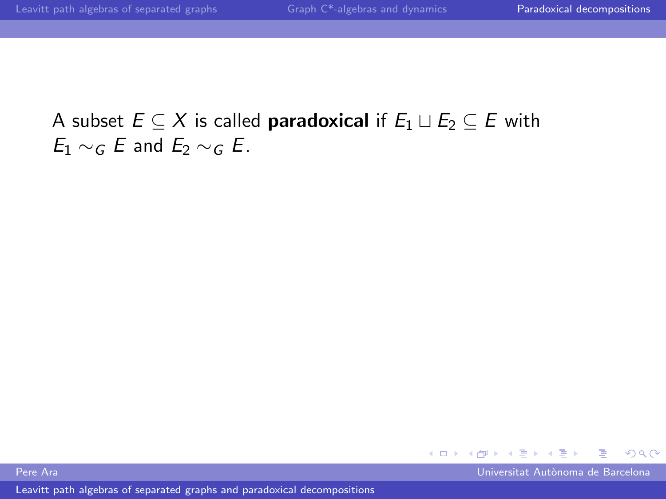$4$  ロ }  $4$   $\overline{m}$  }  $4$   $\overline{m}$  } Þ  $\Omega$ 

Pere Ara Universitat Aut`onoma de Barcelona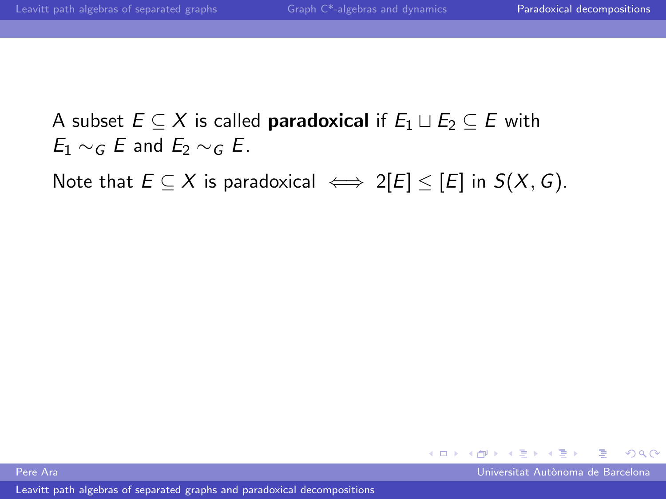Note that  $E \subseteq X$  is paradoxical  $\iff 2[E] \leq [E]$  in  $S(X, G)$ .



Pere Ara Universitat Aut`onoma de Barcelona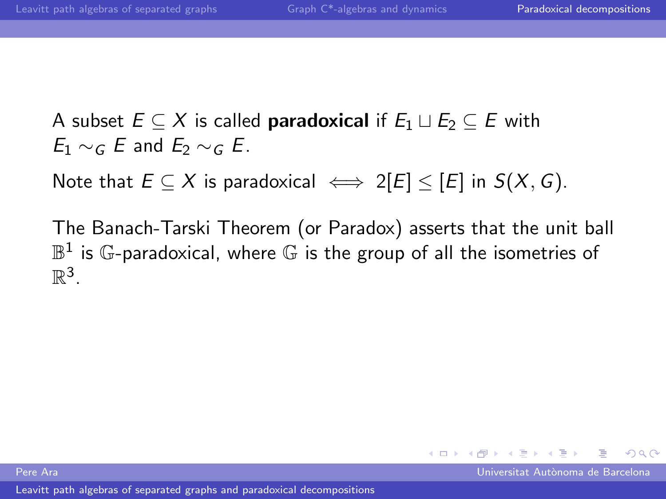Note that  $E \subseteq X$  is paradoxical  $\iff 2[E] \leq [E]$  in  $S(X, G)$ .

The Banach-Tarski Theorem (or Paradox) asserts that the unit ball  $\mathbb{B}^1$  is  $\mathbb{G}$ -paradoxical, where  $\mathbb{G}$  is the group of all the isometries of  $\mathbb{R}^3$ .

Pere Ara Universitat Aut`onoma de Barcelona

 $\Omega$ 

メロト メ何ト メミトメ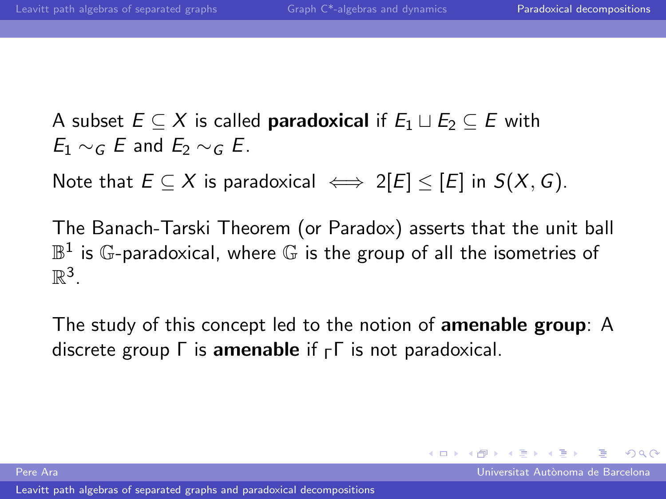Note that  $E \subseteq X$  is paradoxical  $\iff 2|E| \leq |E|$  in  $S(X, G)$ .

The Banach-Tarski Theorem (or Paradox) asserts that the unit ball  $\mathbb{B}^1$  is  $\mathbb{G}$ -paradoxical, where  $\mathbb{G}$  is the group of all the isometries of  $\mathbb{R}^3$ .

The study of this concept led to the notion of amenable group: A discrete group  $\Gamma$  is amenable if  $\Gamma \Gamma$  is not paradoxical.

 $\Omega$ 

 $\left\{ \begin{array}{ccc} 1 & 0 & 0 \\ 0 & 1 & 0 \end{array} \right\}$  ,  $\left\{ \begin{array}{ccc} \frac{1}{2} & 0 & 0 \\ 0 & 0 & 0 \end{array} \right\}$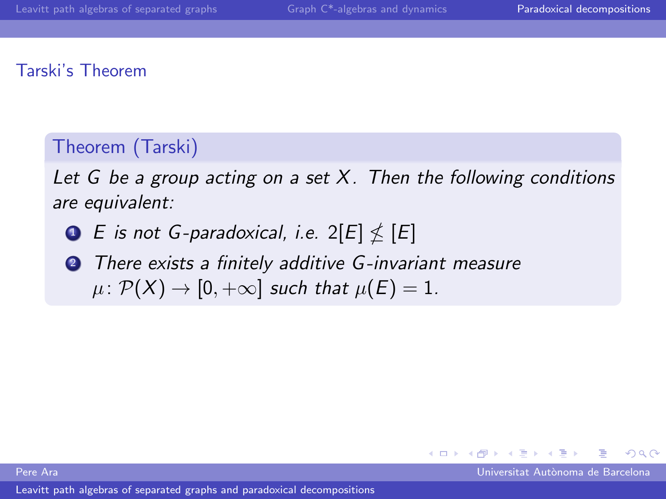#### Tarski's Theorem

## Theorem (Tarski)

Let  $G$  be a group acting on a set  $X$ . Then the following conditions are equivalent:

- $\bullet$  E is not G-paradoxical, i.e. 2[E]  $\nleq$  [E]
- **2** There exists a finitely additive G-invariant measure  $\mu: \mathcal{P}(X) \to [0, +\infty]$  such that  $\mu(E) = 1$ .

 $\Omega$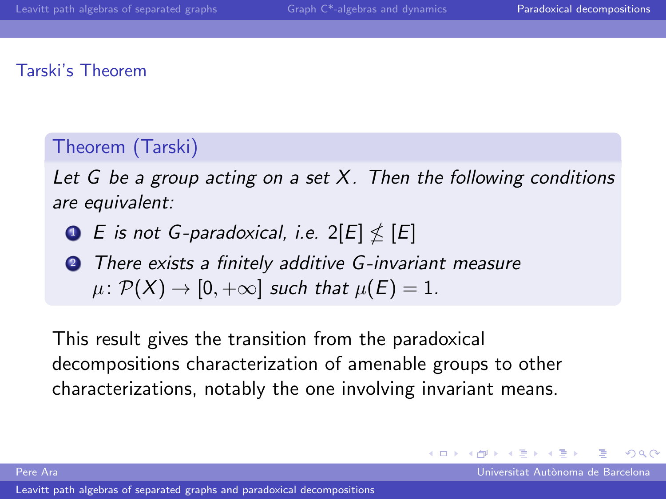#### Tarski's Theorem

# Theorem (Tarski)

Let G be a group acting on a set  $X$ . Then the following conditions are equivalent:

- $\bullet$  E is not G-paradoxical, i.e. 2[E]  $\nleq$  [E]
- **2** There exists a finitely additive G-invariant measure  $\mu: \mathcal{P}(X) \to [0, +\infty]$  such that  $\mu(E) = 1$ .

This result gives the transition from the paradoxical decompositions characterization of amenable groups to other characterizations, notably the one involving invariant means.

 $209$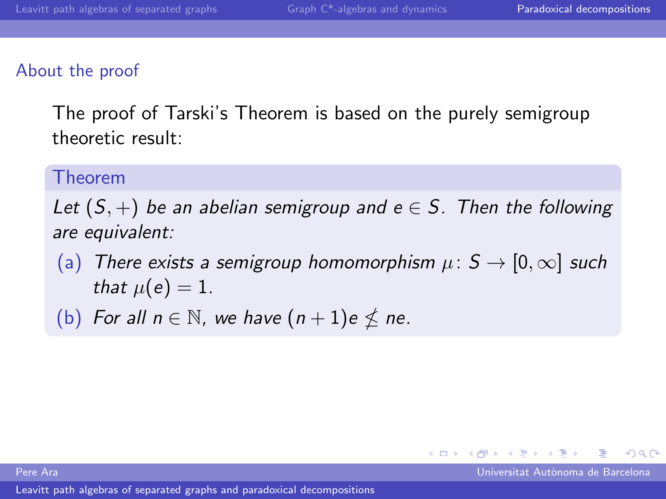#### About the proof

The proof of Tarski's Theorem is based on the purely semigroup theoretic result:

#### Theorem

Let  $(S,+)$  be an abelian semigroup and  $e \in S$ . Then the following are equivalent:

- (a) There exists a semigroup homomorphism  $\mu: S \to [0, \infty]$  such that  $\mu(e) = 1$ .
- (b) For all  $n \in \mathbb{N}$ , we have  $(n + 1)e \nleq ne$ .

[Leavitt path algebras of separated graphs and paradoxical decompositions](#page-0-0)

Pere Ara Universitat Aut`onoma de Barcelona

 $209$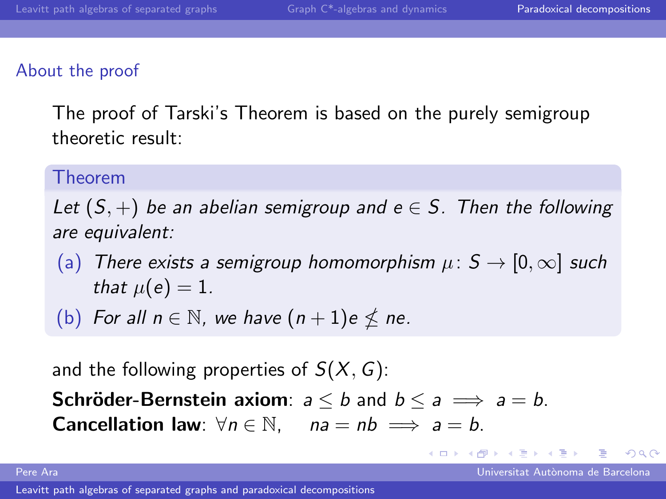#### About the proof

The proof of Tarski's Theorem is based on the purely semigroup theoretic result:

#### Theorem

Let  $(S,+)$  be an abelian semigroup and  $e \in S$ . Then the following are equivalent:

- (a) There exists a semigroup homomorphism  $\mu: S \to [0, \infty]$  such that  $\mu(e) = 1$ .
- (b) For all  $n \in \mathbb{N}$ , we have  $(n + 1)e \nleq ne$ .

and the following properties of  $S(X, G)$ : **Schröder-Bernstein axiom**:  $a \le b$  and  $b \le a \implies a = b$ . **Cancellation law**:  $\forall n \in \mathbb{N}$ ,  $na = nb \implies a = b$ .

 $\Omega$ 

 $\left\{ \begin{array}{ccc} 1 & 0 & 0 \\ 0 & 1 & 0 \end{array} \right.$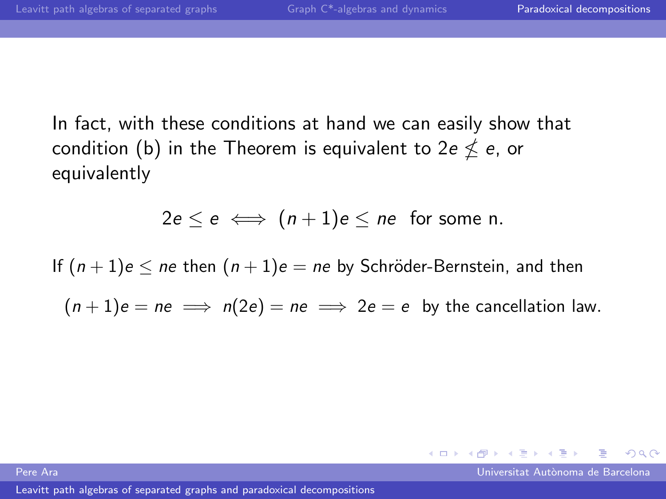In fact, with these conditions at hand we can easily show that condition (b) in the Theorem is equivalent to 2e  $\nleq$   $e,$  or equivalently

$$
2e \leq e \iff (n+1)e \leq ne \text{ for some } n.
$$

If  $(n+1)e < ne$  then  $(n+1)e = ne$  by Schröder-Bernstein, and then  $(n + 1)e = ne \implies n(2e) = ne \implies 2e = e$  by the cancellation law.

 $\Omega$ 

 $\left\{ \begin{array}{ccc} 1 & 0 & 0 \\ 0 & 1 & 0 \end{array} \right\}$  ,  $\left\{ \begin{array}{ccc} \frac{1}{2} & 0 & 0 \\ 0 & 0 & 0 \end{array} \right\}$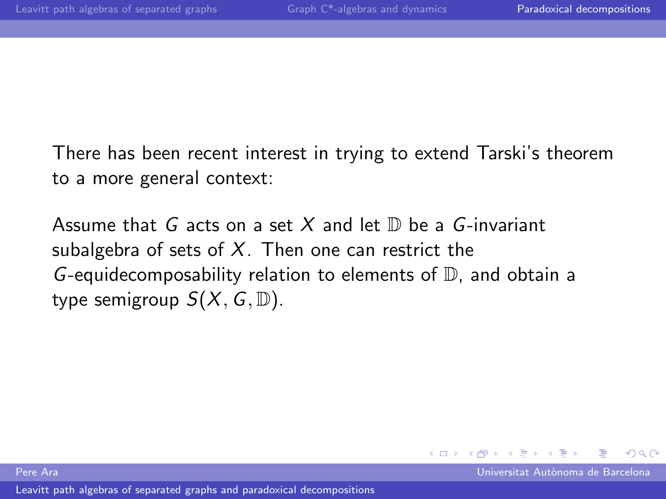There has been recent interest in trying to extend Tarski's theorem to a more general context:

Assume that G acts on a set X and let  $\mathbb D$  be a G-invariant subalgebra of sets of  $X$ . Then one can restrict the G-equidecomposability relation to elements of  $\mathbb D$ , and obtain a type semigroup  $S(X, G, \mathbb{D})$ .

Pere Ara Universitat Aut`onoma de Barcelona

 $\Omega$ 

 $\rightarrow$   $\equiv$   $\rightarrow$ 

**←ロ ▶ ← イ 同 →**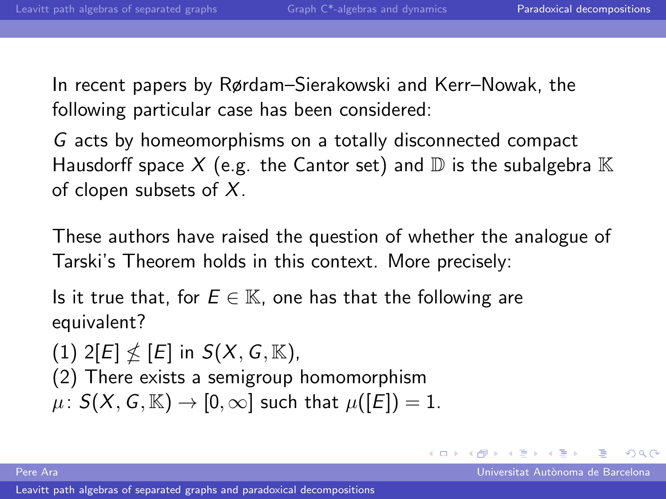In recent papers by Rørdam–Sierakowski and Kerr–Nowak, the following particular case has been considered:

G acts by homeomorphisms on a totally disconnected compact Hausdorff space X (e.g. the Cantor set) and  $\mathbb D$  is the subalgebra  $\mathbb K$ of clopen subsets of  $X$ .

These authors have raised the question of whether the analogue of Tarski's Theorem holds in this context. More precisely:

Is it true that, for  $E \in \mathbb{K}$ , one has that the following are equivalent?

(1)  $2[E] \nleq [E]$  in  $S(X, G, \mathbb{K})$ , (2) There exists a semigroup homomorphism  $\mu: S(X, G, \mathbb{K}) \to [0, \infty]$  such that  $\mu([E]) = 1$ .

Pere Ara Universitat Aut`onoma de Barcelona

 $\Omega$ 

**K ロ ▶ | K 何 ▶ | K 王 ▶ | K**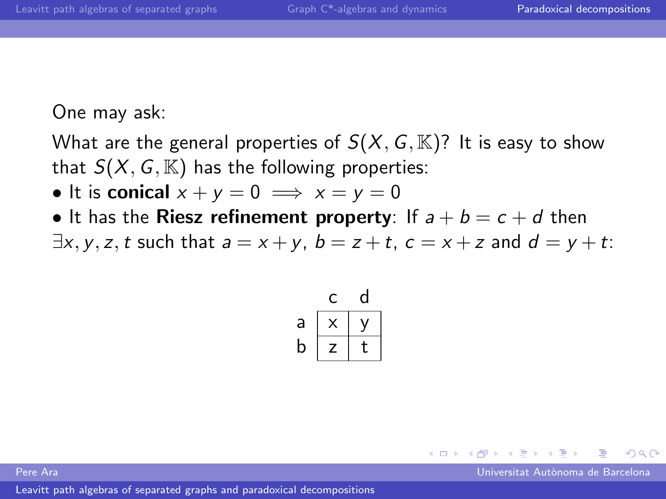One may ask:

What are the general properties of  $S(X, G, \mathbb{K})$ ? It is easy to show that  $S(X, G, \mathbb{K})$  has the following properties:

- It is conical  $x + y = 0 \implies x = y = 0$
- It has the **Riesz refinement property**: If  $a + b = c + d$  then  $\exists x, y, z, t$  such that  $a = x + y$ ,  $b = z + t$ ,  $c = x + z$  and  $d = y + t$ :

| a |   |  |
|---|---|--|
| b | 7 |  |

Pere Ara Universitat Aut`onoma de Barcelona

 $\Omega$ 

 $\leftarrow$   $\Box$   $\rightarrow$   $\rightarrow$   $\leftarrow$   $\Box$   $\rightarrow$   $\rightarrow$   $\rightarrow$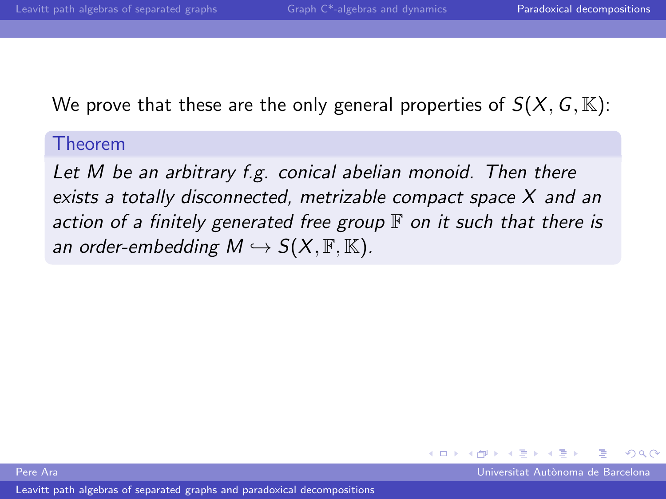We prove that these are the only general properties of  $S(X, G, \mathbb{K})$ :

#### Theorem

Let M be an arbitrary f.g. conical abelian monoid. Then there exists a totally disconnected, metrizable compact space X and an action of a finitely generated free group  $\mathbb F$  on it such that there is an order-embedding  $M \hookrightarrow S(X, \mathbb{F}, \mathbb{K})$ .

Pere Ara Universitat Aut`onoma de Barcelona

 $\Omega$ 

 $\rightarrow$   $\equiv$   $\rightarrow$ 

4.0.3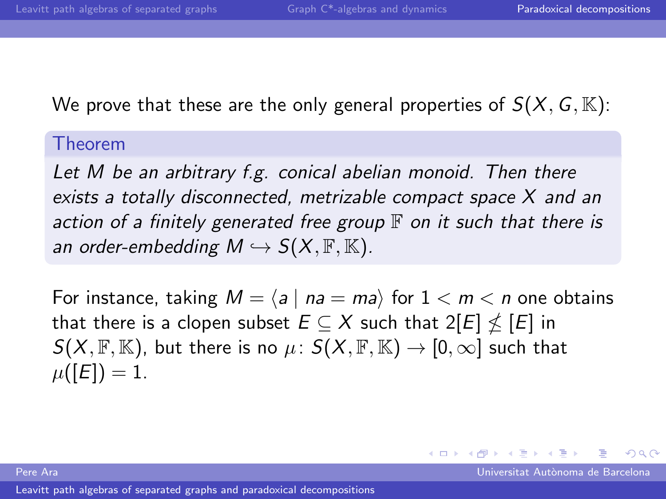We prove that these are the only general properties of  $S(X, G, \mathbb{K})$ :

#### Theorem

Let M be an arbitrary f.g. conical abelian monoid. Then there exists a totally disconnected, metrizable compact space X and an action of a finitely generated free group  $\mathbb F$  on it such that there is an order-embedding  $M \hookrightarrow S(X, \mathbb{F}, \mathbb{K})$ .

For instance, taking  $M = \langle a | na = ma \rangle$  for  $1 < m < n$  one obtains that there is a clopen subset  $E \subseteq X$  such that  $2[E] \nleq [E]$  in  $S(X, \mathbb{F}, \mathbb{K})$ , but there is no  $\mu: S(X, \mathbb{F}, \mathbb{K}) \to [0, \infty]$  such that  $\mu([E]) = 1.$ 

Pere Ara Universitat Aut`onoma de Barcelona

 $209$ 

 $\left\{ \begin{array}{ccc} \square & \rightarrow & \left\{ \bigcap \mathbb{P} \right\} & \left\{ \begin{array}{ccc} \square & \rightarrow & \left\{ \end{array} \right\} \end{array} \right. \right\}$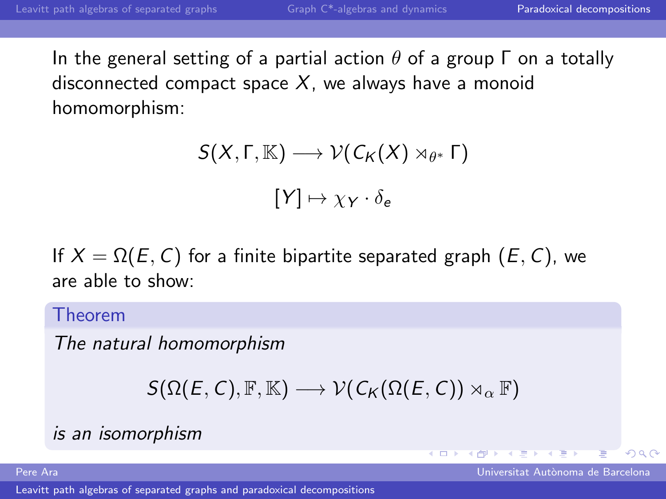In the general setting of a partial action  $\theta$  of a group  $\Gamma$  on a totally disconnected compact space  $X$ , we always have a monoid homomorphism:

$$
S(X, \Gamma, \mathbb{K}) \longrightarrow \mathcal{V}(C_K(X) \rtimes_{\theta^*} \Gamma)
$$

$$
[Y] \mapsto \chi_Y \cdot \delta_e
$$

If  $X = \Omega(E, C)$  for a finite bipartite separated graph  $(E, C)$ , we are able to show:

Theorem

The natural homomorphism

```
S(\Omega(E, C), \mathbb{F}, \mathbb{K}) \longrightarrow \mathcal{V}(C_K(\Omega(E, C)) \rtimes_{\alpha} \mathbb{F})
```
## is an isomorphism

[Leavitt path algebras of separated graphs and paradoxical decompositions](#page-0-0)

Pere Ara Universitat Aut`onoma de Barcelona

 $\Omega$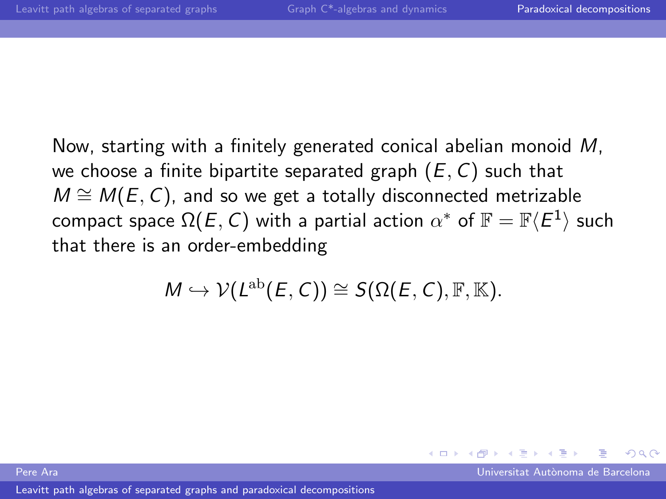Now, starting with a finitely generated conical abelian monoid M, we choose a finite bipartite separated graph  $(E, C)$  such that  $M \cong M(E, C)$ , and so we get a totally disconnected metrizable compact space  $\Omega(E,\,\mathcal{C})$  with a partial action  $\alpha^*$  of  $\mathbb{F}=\mathbb{F}\langle E^1\rangle$  such that there is an order-embedding

$$
M\hookrightarrow \mathcal{V}(L^{\text{ab}}(E,C))\cong S(\Omega(E,C),\mathbb{F},\mathbb{K}).
$$

Pere Ara Universitat Aut`onoma de Barcelona

 $\Omega$ 

 $\rightarrow$   $\equiv$   $\rightarrow$ 

**←ロ ▶ ← イ 同 →**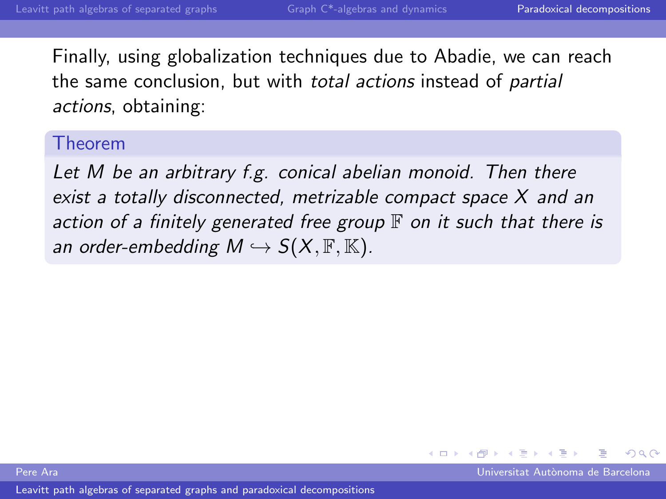Finally, using globalization techniques due to Abadie, we can reach the same conclusion, but with *total actions* instead of *partial* actions, obtaining:

#### Theorem

Let M be an arbitrary f.g. conical abelian monoid. Then there exist a totally disconnected, metrizable compact space X and an action of a finitely generated free group  $\mathbb F$  on it such that there is an order-embedding  $M \hookrightarrow S(X, \mathbb{F}, \mathbb{K})$ .

Pere Ara Universitat Aut`onoma de Barcelona

 $\Omega$ 

 $\leftarrow$   $\Box$   $\rightarrow$   $\rightarrow$   $\leftarrow$   $\Box$   $\rightarrow$   $\rightarrow$   $\rightarrow$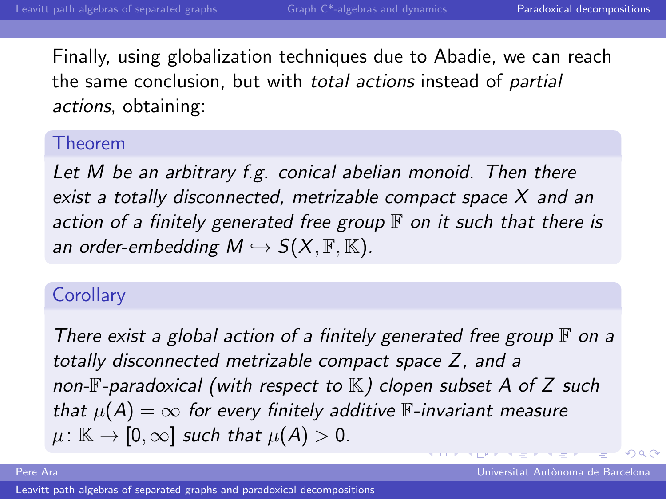Finally, using globalization techniques due to Abadie, we can reach the same conclusion, but with *total actions* instead of *partial* actions, obtaining:

#### Theorem

Let M be an arbitrary f.g. conical abelian monoid. Then there exist a totally disconnected, metrizable compact space X and an action of a finitely generated free group  $\mathbb F$  on it such that there is an order-embedding  $M \hookrightarrow S(X, \mathbb{F}, \mathbb{K})$ .

#### **Corollary**

There exist a global action of a finitely generated free group  $\mathbb F$  on a totally disconnected metrizable compact space Z, and a non- $F$ -paradoxical (with respect to  $K$ ) clopen subset A of Z such that  $\mu(A) = \infty$  for every finitely additive  $\mathbb{F}$ -invariant measure  $\mu: \mathbb{K} \to [0,\infty]$  such that  $\mu(A) > 0$ .

 $\Omega$